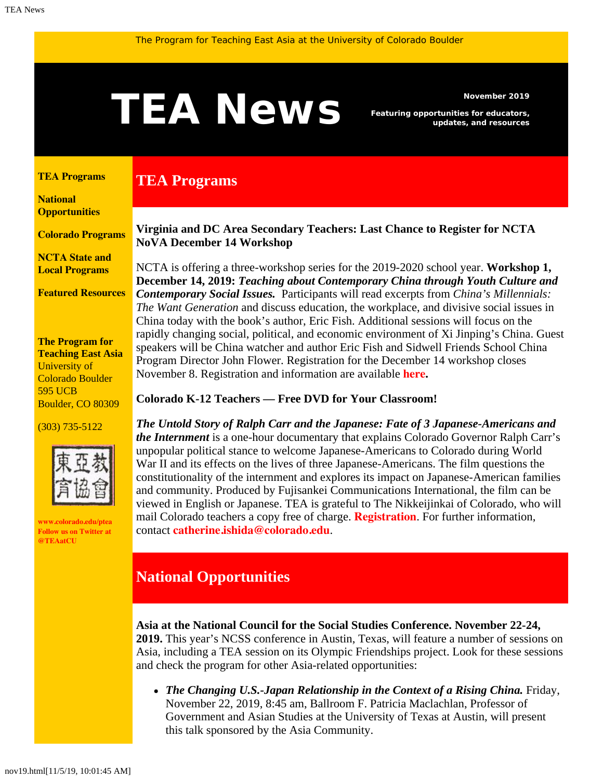# <span id="page-0-1"></span>Newsmber 2019<br> **TEAN EWS** Featuring opportunities for educators,<br>
updates, and resources

**TEA Programs**

*Featuring opportunities for educators, updates, and resources*

#### <span id="page-0-0"></span>**[TEA Programs](#page-0-0)**

**[National](#page-0-1)  [Opportunities](#page-0-1)**

**[Colorado Programs](#page-1-0)**

**[NCTA State and](#page-3-0) [Local Programs](#page-3-0)**

**[Featured Resources](#page-3-1)**

**The Program for Teaching East Asia** University of Colorado Boulder 595 UCB Boulder, CO 80309

#### (303) 735-5122



**[www.colorado.edu/ptea](http://www.colorado.edu/cas/tea) Follow us on Twitter at [@TEAatCU](https://twitter.com/TEAatCU)**

## **Virginia and DC Area Secondary Teachers: Last Chance to Register for NCTA NoVA December 14 Workshop**

NCTA is offering a three-workshop series for the 2019-2020 school year. **Workshop 1, December 14, 2019:** *Teaching about Contemporary China through Youth Culture and Contemporary Social Issues.* Participants will read excerpts from *China's Millennials: The Want Generation* and discuss education, the workplace, and divisive social issues in China today with the book's author, Eric Fish. Additional sessions will focus on the rapidly changing social, political, and economic environment of Xi Jinping's China. Guest speakers will be China watcher and author Eric Fish and Sidwell Friends School China Program Director John Flower. Registration for the December 14 workshop closes November 8. Registration and information are available **[here](https://www.colorado.edu/ptea/sites/default/files/attached-files/nova_flyer_2019_2020.pdf).**

#### **Colorado K-12 Teachers — Free DVD for Your Classroom!**

*The Untold Story of Ralph Carr and the Japanese: Fate of 3 Japanese-Americans and the Internment* is a one-hour documentary that explains Colorado Governor Ralph Carr's unpopular political stance to welcome Japanese-Americans to Colorado during World War II and its effects on the lives of three Japanese-Americans. The film questions the constitutionality of the internment and explores its impact on Japanese-American families and community. Produced by Fujisankei Communications International, the film can be viewed in English or Japanese. TEA is grateful to The Nikkeijinkai of Colorado, who will mail Colorado teachers a copy free of charge. **[Registration](https://www.colorado.edu/ptea/content/registration-resource)**. For further information, contact **[catherine.ishida@colorado.edu](mailto:catherine.ishida@colorado.edu)**.

# **National Opportunities**

**Asia at the National Council for the Social Studies Conference. November 22-24,**

**2019.** This year's NCSS conference in Austin, Texas, will feature a number of sessions on Asia, including a TEA session on its Olympic Friendships project. Look for these sessions and check the program for other Asia-related opportunities:

• The Changing U.S.-Japan Relationship in the Context of a Rising China. Friday, November 22, 2019, 8:45 am, Ballroom F. Patricia Maclachlan, Professor of Government and Asian Studies at the University of Texas at Austin, will present this talk sponsored by the Asia Community.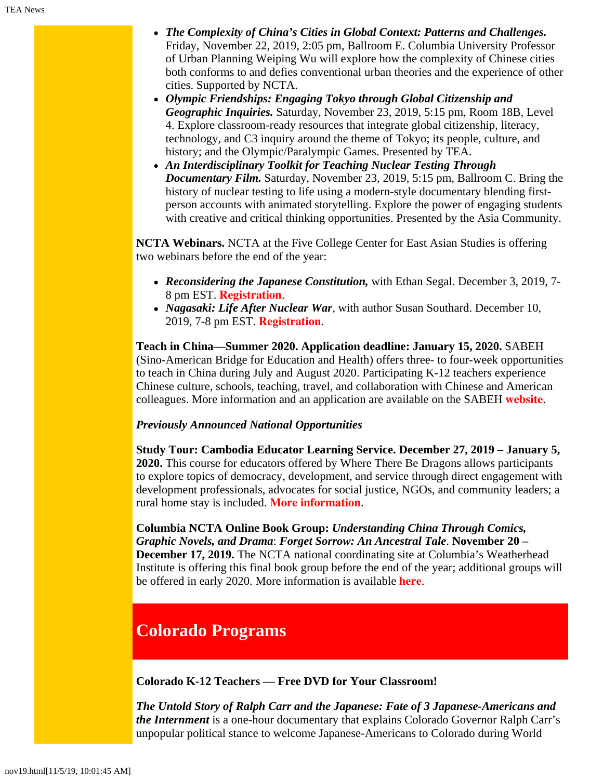- *The Complexity of China's Cities in Global Context: Patterns and Challenges.* Friday, November 22, 2019, 2:05 pm, Ballroom E. Columbia University Professor of Urban Planning Weiping Wu will explore how the complexity of Chinese cities both conforms to and defies conventional urban theories and the experience of other cities. Supported by NCTA.
- *Olympic Friendships: Engaging Tokyo through Global Citizenship and Geographic Inquiries.* Saturday, November 23, 2019, 5:15 pm, Room 18B, Level 4. Explore classroom-ready resources that integrate global citizenship, literacy, technology, and C3 inquiry around the theme of Tokyo; its people, culture, and history; and the Olympic/Paralympic Games. Presented by TEA.
- *An Interdisciplinary Toolkit for Teaching Nuclear Testing Through Documentary Film.* Saturday, November 23, 2019, 5:15 pm, Ballroom C. Bring the history of nuclear testing to life using a modern-style documentary blending firstperson accounts with animated storytelling. Explore the power of engaging students with creative and critical thinking opportunities. Presented by the Asia Community.

**NCTA Webinars.** NCTA at the Five College Center for East Asian Studies is offering two webinars before the end of the year:

- *Reconsidering the Japanese Constitution,* with Ethan Segal. December 3, 2019, 7- 8 pm EST. **[Registration](https://register.gotowebinar.com/register/668920186675053569)**.
- *Nagasaki: Life After Nuclear War*, with author Susan Southard. December 10, 2019, 7-8 pm EST. **[Registration](https://register.gotowebinar.com/register/7917711176098218754)**.

**Teach in China—Summer 2020. Application deadline: January 15, 2020.** SABEH (Sino-American Bridge for Education and Health) offers three- to four-week opportunities to teach in China during July and August 2020. Participating K-12 teachers experience Chinese culture, schools, teaching, travel, and collaboration with Chinese and American colleagues. More information and an application are available on the SABEH **[website](https://www.sabeh.org/teach-in-china)**.

## *Previously Announced National Opportunities*

**Study Tour: Cambodia Educator Learning Service. December 27, 2019 – January 5, 2020.** This course for educators offered by Where There Be Dragons allows participants to explore topics of democracy, development, and service through direct engagement with development professionals, advocates for social justice, NGOs, and community leaders; a rural home stay is included. **[More information](https://www.wheretherebedragons.com/program/cambodia-educator/)**.

**Columbia NCTA Online Book Group:** *Understanding China Through Comics, Graphic Novels, and Drama*: *Forget Sorrow: An Ancestral Tale*. **November 20 – December 17, 2019.** The NCTA national coordinating site at Columbia's Weatherhead Institute is offering this final book group before the end of the year; additional groups will be offered in early 2020. More information is available **[here](http://afe.easia.columbia.edu/announcements/2019/BookGroupsFall19.html)**.

# <span id="page-1-0"></span>**Colorado Programs**

**Colorado K-12 Teachers — Free DVD for Your Classroom!**

*The Untold Story of Ralph Carr and the Japanese: Fate of 3 Japanese-Americans and the Internment* is a one-hour documentary that explains Colorado Governor Ralph Carr's unpopular political stance to welcome Japanese-Americans to Colorado during World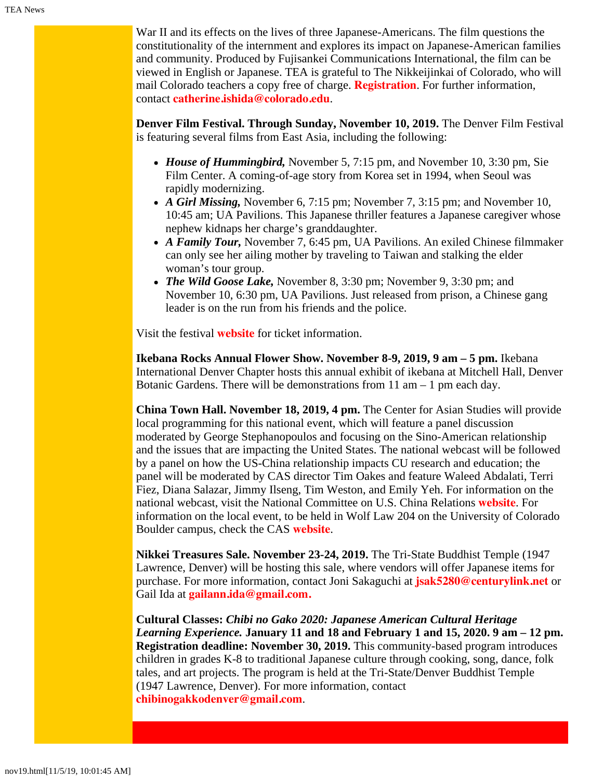War II and its effects on the lives of three Japanese-Americans. The film questions the constitutionality of the internment and explores its impact on Japanese-American families and community. Produced by Fujisankei Communications International, the film can be viewed in English or Japanese. TEA is grateful to The Nikkeijinkai of Colorado, who will mail Colorado teachers a copy free of charge. **[Registration](https://www.colorado.edu/ptea/content/registration-resource)**. For further information, contact **[catherine.ishida@colorado.edu](mailto:catherine.ishida@colorado.edu)**.

**Denver Film Festival. Through Sunday, November 10, 2019.** The Denver Film Festival is featuring several films from East Asia, including the following:

- *House of Hummingbird,* November 5, 7:15 pm, and November 10, 3:30 pm, Sie Film Center. A coming-of-age story from Korea set in 1994, when Seoul was rapidly modernizing.
- *A Girl Missing,* November 6, 7:15 pm; November 7, 3:15 pm; and November 10, 10:45 am; UA Pavilions. This Japanese thriller features a Japanese caregiver whose nephew kidnaps her charge's granddaughter.
- *A Family Tour,* November 7, 6:45 pm, UA Pavilions. An exiled Chinese filmmaker can only see her ailing mother by traveling to Taiwan and stalking the elder woman's tour group.
- *The Wild Goose Lake,* November 8, 3:30 pm; November 9, 3:30 pm; and November 10, 6:30 pm, UA Pavilions. Just released from prison, a Chinese gang leader is on the run from his friends and the police.

Visit the festival **[website](https://denverfilmfestival.denverfilm.org/tickets/)** for ticket information.

**Ikebana Rocks Annual Flower Show. November 8-9, 2019, 9 am – 5 pm.** Ikebana International Denver Chapter hosts this annual exhibit of ikebana at Mitchell Hall, Denver Botanic Gardens. There will be demonstrations from 11 am – 1 pm each day.

**China Town Hall. November 18, 2019, 4 pm.** The Center for Asian Studies will provide local programming for this national event, which will feature a panel discussion moderated by George Stephanopoulos and focusing on the Sino-American relationship and the issues that are impacting the United States. The national webcast will be followed by a panel on how the US-China relationship impacts CU research and education; the panel will be moderated by CAS director Tim Oakes and feature Waleed Abdalati, Terri Fiez, Diana Salazar, Jimmy Ilseng, Tim Weston, and Emily Yeh. For information on the national webcast, visit the National Committee on U.S. China Relations **[website](https://www.ncuscr.org/program/china-town-hall)**. For information on the local event, to be held in Wolf Law 204 on the University of Colorado Boulder campus, check the CAS **[website](https://www.colorado.edu/cas/china-town-hall-20191118)**.

**Nikkei Treasures Sale. November 23-24, 2019.** The Tri-State Buddhist Temple (1947 Lawrence, Denver) will be hosting this sale, where vendors will offer Japanese items for purchase. For more information, contact Joni Sakaguchi at **[jsak5280@centurylink.net](mailto:jsak5280@centurylink.net)** or Gail Ida at **[gailann.ida@gmail.com.](mailto:gailann.ida@gmail.com.)**

**Cultural Classes:** *Chibi no Gako 2020: Japanese American Cultural Heritage Learning Experience.* **January 11 and 18 and February 1 and 15, 2020. 9 am – 12 pm. Registration deadline: November 30, 2019.** This community-based program introduces children in grades K-8 to traditional Japanese culture through cooking, song, dance, folk tales, and art projects. The program is held at the Tri-State/Denver Buddhist Temple (1947 Lawrence, Denver). For more information, contact **[chibinogakkodenver@gmail.com](mailto:chibinogakkodenver@gmail.com)**.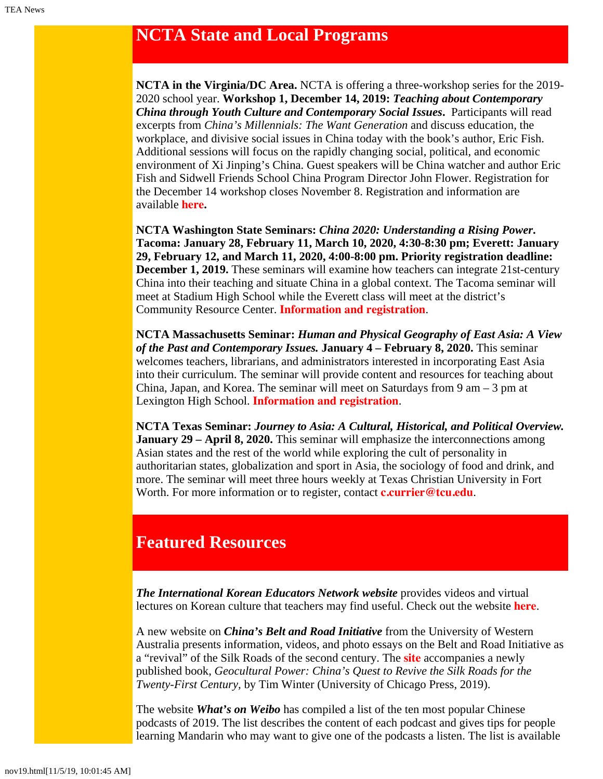# <span id="page-3-0"></span>**NCTA State and Local Programs**

**NCTA in the Virginia/DC Area.** NCTA is offering a three-workshop series for the 2019- 2020 school year. **Workshop 1, December 14, 2019:** *Teaching about Contemporary China through Youth Culture and Contemporary Social Issues***.** Participants will read excerpts from *China's Millennials: The Want Generation* and discuss education, the workplace, and divisive social issues in China today with the book's author, Eric Fish. Additional sessions will focus on the rapidly changing social, political, and economic environment of Xi Jinping's China. Guest speakers will be China watcher and author Eric Fish and Sidwell Friends School China Program Director John Flower. Registration for the December 14 workshop closes November 8. Registration and information are available **[here](https://www.colorado.edu/ptea/sites/default/files/attached-files/nova_flyer_2019_2020.pdf).**

**NCTA Washington State Seminars:** *China 2020: Understanding a Rising Power***. Tacoma: January 28, February 11, March 10, 2020, 4:30-8:30 pm; Everett: January 29, February 12, and March 11, 2020, 4:00-8:00 pm. Priority registration deadline: December 1, 2019.** These seminars will examine how teachers can integrate 21st-century China into their teaching and situate China in a global context. The Tacoma seminar will meet at Stadium High School while the Everett class will meet at the district's Community Resource Center. **[Information and registration](https://jsis.washington.edu/earc/china-2020-understanding-a-rising-power/)**.

**NCTA Massachusetts Seminar:** *Human and Physical Geography of East Asia: A View of the Past and Contemporary Issues.* **January 4 – February 8, 2020.** This seminar welcomes teachers, librarians, and administrators interested in incorporating East Asia into their curriculum. The seminar will provide content and resources for teaching about China, Japan, and Korea. The seminar will meet on Saturdays from  $9 \text{ am } -3 \text{ pm at}$ Lexington High School. **[Information and registration](https://www.fivecolleges.edu/fcceas/ncta/ncta_in_massachusetts/2020-Lexington-MA)**.

**NCTA Texas Seminar:** *Journey to Asia: A Cultural, Historical, and Political Overview.* **January 29 – April 8, 2020.** This seminar will emphasize the interconnections among Asian states and the rest of the world while exploring the cult of personality in authoritarian states, globalization and sport in Asia, the sociology of food and drink, and more. The seminar will meet three hours weekly at Texas Christian University in Fort Worth. For more information or to register, contact **[c.currier@tcu.edu](mailto:c.currier@tcu.edu)**.

# <span id="page-3-1"></span>**Featured Resources**

*The International Korean Educators Network website* provides videos and virtual lectures on Korean culture that teachers may find useful. Check out the website **[here](http://www.ikeneducate.org/k-culture-courses/)**.

A new website on *China's Belt and Road Initiative* from the University of Western Australia presents information, videos, and photo essays on the Belt and Road Initiative as a "revival" of the Silk Roads of the second century. The **[site](http://www.silkroadfutures.net/)** accompanies a newly published book, *Geocultural Power: China's Quest to Revive the Silk Roads for the Twenty-First Century,* by Tim Winter (University of Chicago Press, 2019).

The website *What's on Weibo* has compiled a list of the ten most popular Chinese podcasts of 2019. The list describes the content of each podcast and gives tips for people learning Mandarin who may want to give one of the podcasts a listen. The list is available